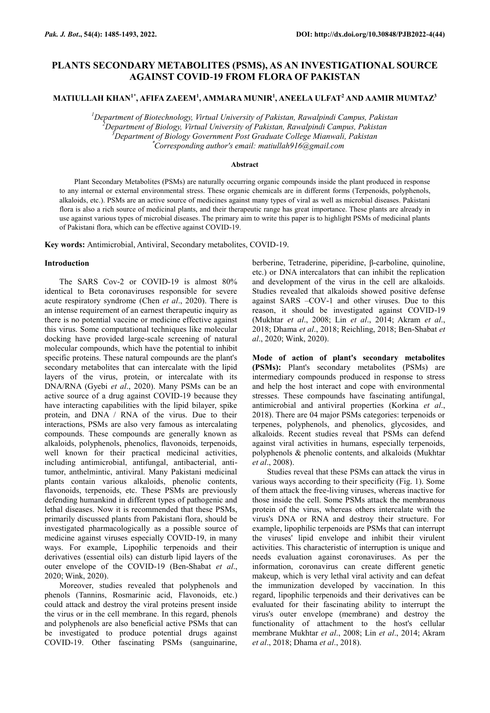# **PLANTS SECONDARY METABOLITES (PSMS), AS AN INVESTIGATIONAL SOURCE AGAINST COVID-19 FROM FLORA OF PAKISTAN**

**MATIULLAH KHAN1\*, AFIFA ZAEEM<sup>1</sup> , AMMARA MUNIR<sup>1</sup> , ANEELA ULFAT<sup>2</sup> AND AAMIR MUMTAZ<sup>3</sup>**

*Department of Biotechnology, Virtual University of Pakistan, Rawalpindi Campus, Pakistan Department of Biology, Virtual University of Pakistan, Rawalpindi Campus, Pakistan Department of Biology Government Post Graduate College Mianwali, Pakistan* \**Corresponding author's email: matiullah916@gmail.com*

### **Abstract**

Plant Secondary Metabolites (PSMs) are naturally occurring organic compounds inside the plant produced in response to any internal or external environmental stress. These organic chemicals are in different forms (Terpenoids, polyphenols, alkaloids, etc.). PSMs are an active source of medicines against many types of viral as well as microbial diseases. Pakistani flora is also a rich source of medicinal plants, and their therapeutic range has great importance. These plants are already in use against various types of microbial diseases. The primary aim to write this paper is to highlight PSMs of medicinal plants of Pakistani flora, which can be effective against COVID-19.

**Key words:** Antimicrobial, Antiviral, Secondary metabolites, COVID-19.

### **Introduction**

The SARS Cov-2 or COVID-19 is almost 80% identical to Beta coronaviruses responsible for severe acute respiratory syndrome (Chen *et al*., 2020). There is an intense requirement of an earnest therapeutic inquiry as there is no potential vaccine or medicine effective against this virus. Some computational techniques like molecular docking have provided large-scale screening of natural molecular compounds, which have the potential to inhibit specific proteins. These natural compounds are the plant's secondary metabolites that can intercalate with the lipid layers of the virus, protein, or intercalate with its DNA/RNA (Gyebi *et al*., 2020). Many PSMs can be an active source of a drug against COVID-19 because they have interacting capabilities with the lipid bilayer, spike protein, and DNA / RNA of the virus. Due to their interactions, PSMs are also very famous as intercalating compounds. These compounds are generally known as alkaloids, polyphenols, phenolics, flavonoids, terpenoids, well known for their practical medicinal activities, including antimicrobial, antifungal, antibacterial, antitumor, anthelmintic, antiviral. Many Pakistani medicinal plants contain various alkaloids, phenolic contents, flavonoids, terpenoids, etc. These PSMs are previously defending humankind in different types of pathogenic and lethal diseases. Now it is recommended that these PSMs, primarily discussed plants from Pakistani flora, should be investigated pharmacologically as a possible source of medicine against viruses especially COVID-19, in many ways. For example, Lipophilic terpenoids and their derivatives (essential oils) can disturb lipid layers of the outer envelope of the COVID-19 (Ben-Shabat *et al*., 2020; Wink, 2020).

Moreover, studies revealed that polyphenols and phenols (Tannins, Rosmarinic acid, Flavonoids, etc.) could attack and destroy the viral proteins present inside the virus or in the cell membrane. In this regard, phenols and polyphenols are also beneficial active PSMs that can be investigated to produce potential drugs against COVID-19. Other fascinating PSMs (sanguinarine,

berberine, Tetraderine, piperidine, β-carboline, quinoline, etc.) or DNA intercalators that can inhibit the replication and development of the virus in the cell are alkaloids. Studies revealed that alkaloids showed positive defense against SARS –COV-1 and other viruses. Due to this reason, it should be investigated against COVID-19 (Mukhtar *et al*., 2008; Lin *et al*., 2014; Akram *et al*., 2018; Dhama *et al*., 2018; Reichling, 2018; Ben-Shabat *et al*., 2020; Wink, 2020).

**Mode of action of plant's secondary metabolites (PSMs):** Plant's secondary metabolites (PSMs) are intermediary compounds produced in response to stress and help the host interact and cope with environmental stresses. These compounds have fascinating antifungal, antimicrobial and antiviral properties (Korkina *et al*., 2018). There are 04 major PSMs categories: terpenoids or terpenes, polyphenols, and phenolics, glycosides, and alkaloids. Recent studies reveal that PSMs can defend against viral activities in humans, especially terpenoids, polyphenols & phenolic contents, and alkaloids (Mukhtar *et al*., 2008).

Studies reveal that these PSMs can attack the virus in various ways according to their specificity (Fig. 1). Some of them attack the free-living viruses, whereas inactive for those inside the cell. Some PSMs attack the membranous protein of the virus, whereas others intercalate with the virus's DNA or RNA and destroy their structure. For example, lipophilic terpenoids are PSMs that can interrupt the viruses' lipid envelope and inhibit their virulent activities. This characteristic of interruption is unique and needs evaluation against coronaviruses. As per the information, coronavirus can create different genetic makeup, which is very lethal viral activity and can defeat the immunization developed by vaccination. In this regard, lipophilic terpenoids and their derivatives can be evaluated for their fascinating ability to interrupt the virus's outer envelope (membrane) and destroy the functionality of attachment to the host's cellular membrane Mukhtar *et al*., 2008; Lin *et al*., 2014; Akram *et al*., 2018; Dhama *et al*., 2018).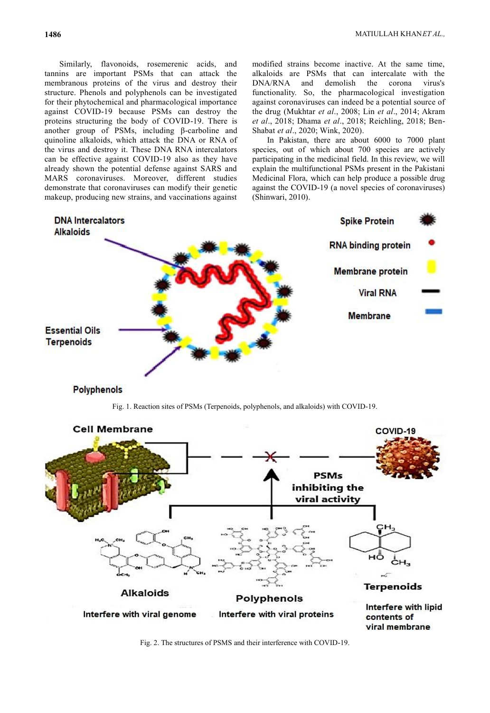Similarly, flavonoids, rosemerenic acids, and tannins are important PSMs that can attack the membranous proteins of the virus and destroy their structure. Phenols and polyphenols can be investigated for their phytochemical and pharmacological importance against COVID-19 because PSMs can destroy the proteins structuring the body of COVID-19. There is another group of PSMs, including β-carboline and quinoline alkaloids, which attack the DNA or RNA of the virus and destroy it. These DNA RNA intercalators can be effective against COVID-19 also as they have already shown the potential defense against SARS and MARS coronaviruses. Moreover, different studies demonstrate that coronaviruses can modify their genetic makeup, producing new strains, and vaccinations against

modified strains become inactive. At the same time, alkaloids are PSMs that can intercalate with the DNA/RNA and demolish the corona virus's functionality. So, the pharmacological investigation against coronaviruses can indeed be a potential source of the drug (Mukhtar *et al*., 2008; Lin *et al*., 2014; Akram *et al*., 2018; Dhama *et al*., 2018; Reichling, 2018; Ben-Shabat *et al*., 2020; Wink, 2020).

In Pakistan, there are about 6000 to 7000 plant species, out of which about 700 species are actively participating in the medicinal field. In this review, we will explain the multifunctional PSMs present in the Pakistani Medicinal Flora, which can help produce a possible drug against the COVID-19 (a novel species of coronaviruses) (Shinwari, 2010).



# **Polyphenols**

Fig. 1. Reaction sites of PSMs (Terpenoids, polyphenols, and alkaloids) with COVID-19.



Fig. 2. The structures of PSMS and their interference with COVID-19.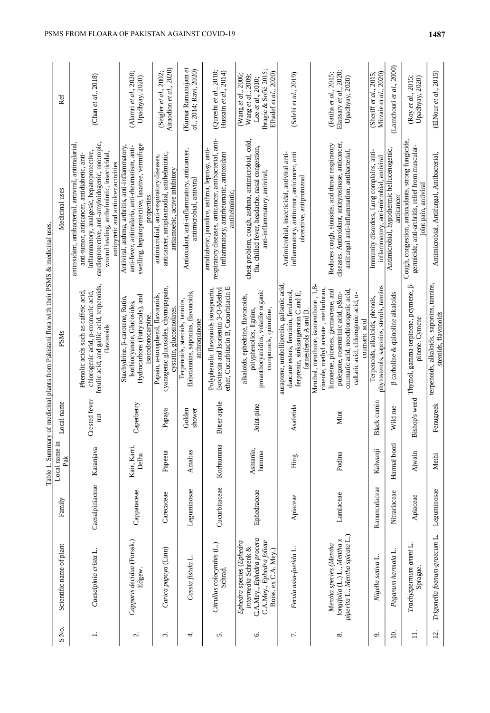|                      |                                                                                                                                    |                 |                       |                      | Table 1. Summary of medicinal plants from Pakistani flora with their PSMS & medicinal uses                                                                                                                                                           |                                                                                                                                                                                                                                                                                             |                                                                                                                  |
|----------------------|------------------------------------------------------------------------------------------------------------------------------------|-----------------|-----------------------|----------------------|------------------------------------------------------------------------------------------------------------------------------------------------------------------------------------------------------------------------------------------------------|---------------------------------------------------------------------------------------------------------------------------------------------------------------------------------------------------------------------------------------------------------------------------------------------|------------------------------------------------------------------------------------------------------------------|
| SNo.                 | Scientific name of plant                                                                                                           | Family          | Local name in<br>Pak  | Local name           | PSMs                                                                                                                                                                                                                                                 | Medicinal uses                                                                                                                                                                                                                                                                              | Ref                                                                                                              |
| $\ddot{ }$           | Caesalpinia crista L.                                                                                                              | Caesalpiniaceae | Karanjava             | Crested fever<br>nut | ferulic acid, and gallic acid, terpenoids,<br>Phenolic acids such as caffeic acid,<br>chlorogenic acid, p-coumaric acid<br>flavonoids                                                                                                                | antioxidant, antibacterial, antiviral, antimalarial,<br>cardioprotective, anti-amyloidogenic, nootropic,<br>inflammatory, analgesic, hepatoprotective,<br>wound healing, anthelmintic, insecticidal,<br>anti-tumor, anticancer, antidiabetic, anti-<br>antipyretic and antiulcer activities | (Chan et al., $2018$ )                                                                                           |
| ς.                   | Capparis decidua (Forssk.)<br>Edgew.                                                                                               | Capparaceae     | Kair, Karri,<br>Delha | Caperberry           | Hydrocarbons (Fatty acids), and<br>Stachydrine, ß-carotene, Rutin,<br>Isothiocyanate, Glucosides,<br>Isocodonocarpine.                                                                                                                               | swelling, hepatoprotective, laxative, vermifuge<br>Antiviral, asthma, arthritis, anti-inflammatory,<br>anti-fever, antimalaria, anti-rheumatism, anti-<br>properties                                                                                                                        | (Alamri et al., 2020;<br>Upadhyay, 2020)                                                                         |
| $\dot{\mathfrak{c}}$ | Carica papaya (Linn)                                                                                                               | Carecaceae      | Papeeta               | Papaya               | cyanogenic glucosides, chymopapain,<br>Papain, a-tocopherol, flavonoids,<br>cystatin, glucosinolates                                                                                                                                                 | anticancer, antiplasmodial, antihelmintic,<br>antimicrobial, anti-respiratory diseases,<br>antiamoebic, active inhibitory                                                                                                                                                                   | Airaodion et al., 2020)<br>(Seigler et al., 2002                                                                 |
| 4.                   | Cassia fistula L.                                                                                                                  | Leguminosae     | Amaltas               | Golden<br>shower     | flabotannins, saponins, flavonoids,<br>Terpenoids, steroids, tannins,<br>anthraquinone                                                                                                                                                               | Antioxidant, anti-inflammatory, anticancer,<br>antimicrobial, antivira                                                                                                                                                                                                                      | (Kumar Ramanujam et<br>al., 2014; Ravi, 2020)                                                                    |
| 5.                   | Citrullus colocynthis (L.)<br>Schrad.                                                                                              | Cucurbitaceae   | Korhtumma             | Bitter apple         | ether, Cucurbitacin B, Cucurbitacin E<br>Polyphenolic flavonoids isosapnarin,<br>Isovitexin and Isorientin 3-O-Methyl                                                                                                                                | respiratory diseases, anticancer, antibacterial, anti-<br>antidiabetic, jaundice, asthma, leprosy, anti-<br>inflammatory, antirheumatic, antioxidant<br>antihelmintic.                                                                                                                      | (Qureshi et al., 2010;<br>Hussain et al., 2014)                                                                  |
| ى.                   | C.A.Mey., Ephedra procera<br>C.A.Mey., Ephedra foliate<br>Ephedra species (Ephedra<br>intermedia Schrenk &<br>Boiss. ex C.A. Mey.) | Ephedraceae     | Asmania,<br>humma     | Joint-pine           | proanthocyanidins, volatile organic<br>alkaloids, ephedrine, flavonoids,<br>polyphenolics, lignins,<br>compounds, quinoline                                                                                                                          | chest problem, cough, asthma, antimicrobial, cold,<br>flu, chilled fever, headache, nasal congestion,<br>anti-inflammatory, antiviral,                                                                                                                                                      | Ibragic & Sofić 2015;<br>Elhadef et al., 2020)<br>(Wang et al., 2006;<br>Wang et al., 2009;<br>Lee et al., 2010; |
| $\overline{r}$ .     | Ferula assa-foetida L.                                                                                                             | Apiaceae        | Hing                  | Asafetida            | auraptene, umbelliprenin, galbanic acid,<br>daucane esters, ferutinin, ferulenol,<br>ferprenin, sinkiangenorin C and E,<br>farnesiferols $A$ and $B$                                                                                                 | inflammatory, antitumor, anticancer, anti<br>Antimicrobial, insecticidal, antiviral anti-<br>ulcerative, antiprotozoal                                                                                                                                                                      | (Salehi et al., 2019)                                                                                            |
| ∞ं                   | piperita L., Mentha spicata L.)<br>$longifolia$ (L.) L., Mentha x<br>Mentha species (Mentha                                        | Lamiaceae       | Podina                | Mint                 | Menthol, menthone, isomenthone, 1,8<br>cineole, methyl acetate, methofuran,<br>limonene, pinenes, germacrene, and<br>coumaric acid, neochlorogenic acid,<br>pulegone, rosemirinic acid, p&m-<br>caftaric acid, chlorogenic acid, o-<br>coumaric acid | diseases. Antioxidant, antityrosinase, anticancer,<br>Reduces cough, sinusitis, and throat respiratory<br>antifungal anti-inflammation, antibacterial                                                                                                                                       | Elansary et al., 2020;<br>(Fatiha et al., 2015;<br>Upadhyay, 2020)                                               |
| $\mathfrak{S}$       | Nigella sativa L.                                                                                                                  | Ranunculaceae   | Kalwanji              | <b>Black</b> cumin   | phytosterols, saponins, sterols, tamins<br>Terpenoids, alkaloids, phenols,                                                                                                                                                                           | Immunity disorders, Lung complains, anti-<br>inflammatory, anti-microbial, antiviral                                                                                                                                                                                                        | Mirzaie et al., 2020)<br>(Sheriff et al., $2015$ ;                                                               |
| $\Xi$                | Peganum harmala L.                                                                                                                 | Nitrariaceae    | Harmal booti          | Wild rue             | β carboline & quinoline alkaloids                                                                                                                                                                                                                    | Antimicrobial, hypothermic hellucenogenic,<br>anticancer                                                                                                                                                                                                                                    | (Lamchouri et al., 2000)                                                                                         |
| $\exists$            | Trachyspermum ammi L.<br>Sprague.                                                                                                  | Apiaceae        | Ajwain                | Bishop's weed        | Thymol, gamma-terpinene, pcymene, ß-<br>pinene. Cymene                                                                                                                                                                                               | Cough, congestion, antioxidants, strong fungicide,<br>germicide, anti-arthritis, relief from muscular-<br>joint pain, antiviral                                                                                                                                                             | Upadhyay, 2020)<br>(Roy et al., 2015                                                                             |
| 12.                  | Trigonella foenum-graecum L.                                                                                                       | Leguminosae     | Methi                 | Fenugreek            | terpenoids, alkaloids, saponins, tannins,<br>steroids, flavonoids                                                                                                                                                                                    | Antimicrobial, Antifungal, Antibacterial,                                                                                                                                                                                                                                                   | (ENOur <i>et al.</i> , 2015)                                                                                     |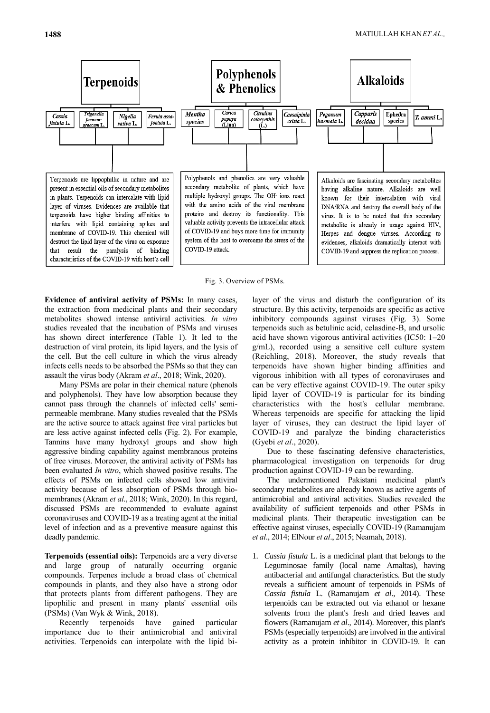

Fig. 3. Overview of PSMs.

**Evidence of antiviral activity of PSMs:** In many cases, the extraction from medicinal plants and their secondary metabolites showed intense antiviral activities. *In vitro* studies revealed that the incubation of PSMs and viruses has shown direct interference (Table 1). It led to the destruction of viral protein, its lipid layers, and the lysis of the cell. But the cell culture in which the virus already infects cells needs to be absorbed the PSMs so that they can assault the virus body (Akram *et al*., 2018; Wink, 2020).

Many PSMs are polar in their chemical nature (phenols and polyphenols). They have low absorption because they cannot pass through the channels of infected cells' semipermeable membrane. Many studies revealed that the PSMs are the active source to attack against free viral particles but are less active against infected cells (Fig. 2). For example, Tannins have many hydroxyl groups and show high aggressive binding capability against membranous proteins of free viruses. Moreover, the antiviral activity of PSMs has been evaluated *In vitro*, which showed positive results. The effects of PSMs on infected cells showed low antiviral activity because of less absorption of PSMs through biomembranes (Akram *et al*., 2018; Wink, 2020). In this regard, discussed PSMs are recommended to evaluate against coronaviruses and COVID-19 as a treating agent at the initial level of infection and as a preventive measure against this deadly pandemic.

**Terpenoids (essential oils):** Terpenoids are a very diverse and large group of naturally occurring organic compounds. Terpenes include a broad class of chemical compounds in plants, and they also have a strong odor that protects plants from different pathogens. They are lipophilic and present in many plants' essential oils (PSMs) (Van Wyk & Wink, 2018).

Recently terpenoids have gained particular importance due to their antimicrobial and antiviral activities. Terpenoids can interpolate with the lipid bilayer of the virus and disturb the configuration of its structure. By this activity, terpenoids are specific as active inhibitory compounds against viruses (Fig. 3). Some terpenoids such as betulinic acid, celasdine-B, and ursolic acid have shown vigorous antiviral activities (IC50: 1–20 g/mL), recorded using a sensitive cell culture system (Reichling, 2018). Moreover, the study reveals that terpenoids have shown higher binding affinities and vigorous inhibition with all types of coronaviruses and can be very effective against COVID-19. The outer spiky lipid layer of COVID-19 is particular for its binding characteristics with the host's cellular membrane. Whereas terpenoids are specific for attacking the lipid layer of viruses, they can destruct the lipid layer of COVID-19 and paralyze the binding characteristics (Gyebi *et al*., 2020).

Due to these fascinating defensive characteristics, pharmacological investigation on terpenoids for drug production against COVID-19 can be rewarding.

The undermentioned Pakistani medicinal plant's secondary metabolites are already known as active agents of antimicrobial and antiviral activities. Studies revealed the availability of sufficient terpenoids and other PSMs in medicinal plants. Their therapeutic investigation can be effective against viruses, especially COVID-19 (Ramanujam *et al*., 2014; ElNour *et al*., 2015; Neamah, 2018).

1. *Cassia fistula* L. is a medicinal plant that belongs to the Leguminosae family (local name Amaltas), having antibacterial and antifungal characteristics. But the study reveals a sufficient amount of terpenoids in PSMs of *Cassia fistula* L. (Ramanujam *et al*., 2014). These terpenoids can be extracted out via ethanol or hexane solvents from the plant's fresh and dried leaves and flowers (Ramanujam *et al*., 2014). Moreover, this plant's PSMs (especially terpenoids) are involved in the antiviral activity as a protein inhibitor in COVID-19. It can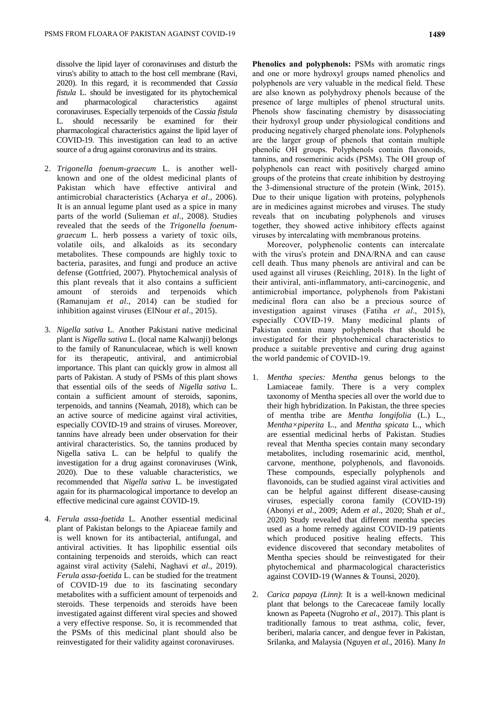dissolve the lipid layer of coronaviruses and disturb the virus's ability to attach to the host cell membrane (Ravi, 2020). In this regard, it is recommended that *Cassia fistula* L. should be investigated for its phytochemical and pharmacological characteristics against coronaviruses. Especially terpenoids of the *Cassia fistula* L. should necessarily be examined for their pharmacological characteristics against the lipid layer of COVID-19. This investigation can lead to an active source of a drug against coronavirus and its strains.

- 2. *Trigonella foenum-graecum* L. is another wellknown and one of the oldest medicinal plants of Pakistan which have effective antiviral and antimicrobial characteristics (Acharya *et al*., 2006). It is an annual legume plant used as a spice in many parts of the world (Sulieman *et al*., 2008). Studies revealed that the seeds of the *Trigonella foenumgraecum* L. herb possess a variety of toxic oils, volatile oils, and alkaloids as its secondary metabolites. These compounds are highly toxic to bacteria, parasites, and fungi and produce an active defense (Gottfried, 2007). Phytochemical analysis of this plant reveals that it also contains a sufficient amount of steroids and terpenoids which (Ramanujam *et al*., 2014) can be studied for inhibition against viruses (ElNour *et al*., 2015).
- 3. *Nigella sativa* L. Another Pakistani native medicinal plant is *Nigella sativa* L. (local name Kalwanji) belongs to the family of Ranunculaceae, which is well known for its therapeutic, antiviral, and antimicrobial importance. This plant can quickly grow in almost all parts of Pakistan. A study of PSMs of this plant shows that essential oils of the seeds of *Nigella sativa* L. contain a sufficient amount of steroids, saponins, terpenoids, and tannins (Neamah, 2018), which can be an active source of medicine against viral activities, especially COVID-19 and strains of viruses. Moreover, tannins have already been under observation for their antiviral characteristics. So, the tannins produced by Nigella sativa L. can be helpful to qualify the investigation for a drug against coronaviruses (Wink, 2020). Due to these valuable characteristics, we recommended that *Nigella sativa* L. be investigated again for its pharmacological importance to develop an effective medicinal cure against COVID-19.
- 4. *Ferula assa-foetida* L. Another essential medicinal plant of Pakistan belongs to the Apiaceae family and is well known for its antibacterial, antifungal, and antiviral activities. It has lipophilic essential oils containing terpenoids and steroids, which can react against viral activity (Salehi, Naghavi *et al*., 2019). *Ferula assa-foetida* L. can be studied for the treatment of COVID-19 due to its fascinating secondary metabolites with a sufficient amount of terpenoids and steroids. These terpenoids and steroids have been investigated against different viral species and showed a very effective response. So, it is recommended that the PSMs of this medicinal plant should also be reinvestigated for their validity against coronaviruses.

**Phenolics and polyphenols:** PSMs with aromatic rings and one or more hydroxyl groups named phenolics and polyphenols are very valuable in the medical field. These are also known as polyhydroxy phenols because of the presence of large multiples of phenol structural units. Phenols show fascinating chemistry by disassociating their hydroxyl group under physiological conditions and producing negatively charged phenolate ions. Polyphenols are the larger group of phenols that contain multiple phenolic OH groups. Polyphenols contain flavonoids, tannins, and rosemerinic acids (PSMs). The OH group of polyphenols can react with positively charged amino groups of the proteins that create inhibition by destroying the 3-dimensional structure of the protein (Wink, 2015). Due to their unique ligation with proteins, polyphenols are in medicines against microbes and viruses. The study reveals that on incubating polyphenols and viruses together, they showed active inhibitory effects against viruses by intercalating with membranous proteins.

Moreover, polyphenolic contents can intercalate with the virus's protein and DNA/RNA and can cause cell death. Thus many phenols are antiviral and can be used against all viruses (Reichling, 2018). In the light of their antiviral, anti-inflammatory, anti-carcinogenic, and antimicrobial importance, polyphenols from Pakistani medicinal flora can also be a precious source of investigation against viruses (Fatiha *et al*., 2015), especially COVID-19. Many medicinal plants of Pakistan contain many polyphenols that should be investigated for their phytochemical characteristics to produce a suitable preventive and curing drug against the world pandemic of COVID-19.

- 1. *Mentha species: Mentha* genus belongs to the Lamiaceae family. There is a very complex taxonomy of Mentha species all over the world due to their high hybridization. In Pakistan, the three species of mentha tribe are *Mentha longifolia* (L.) L.*, Mentha×piperita* L., and *Mentha spicata* L., which are essential medicinal herbs of Pakistan. Studies reveal that Mentha species contain many secondary metabolites, including rosemarinic acid, menthol, carvone, menthone, polyphenols, and flavonoids. These compounds, especially polyphenols and flavonoids, can be studied against viral activities and can be helpful against different disease-causing viruses, especially corona family (COVID-19) (Abonyi *et al*., 2009; Adem *et al*., 2020; Shah *et al*., 2020) Study revealed that different mentha species used as a home remedy against COVID-19 patients which produced positive healing effects. This evidence discovered that secondary metabolites of Mentha species should be reinvestigated for their phytochemical and pharmacological characteristics against COVID-19 (Wannes & Tounsi, 2020).
- 2. *Carica papaya (Linn)*: It is a well-known medicinal plant that belongs to the Carecaceae family locally known as Papeeta (Nugroho *et al*., 2017). This plant is traditionally famous to treat asthma, colic, fever, beriberi, malaria cancer, and dengue fever in Pakistan, Srilanka, and Malaysia (Nguyen *et al*., 2016). Many *In*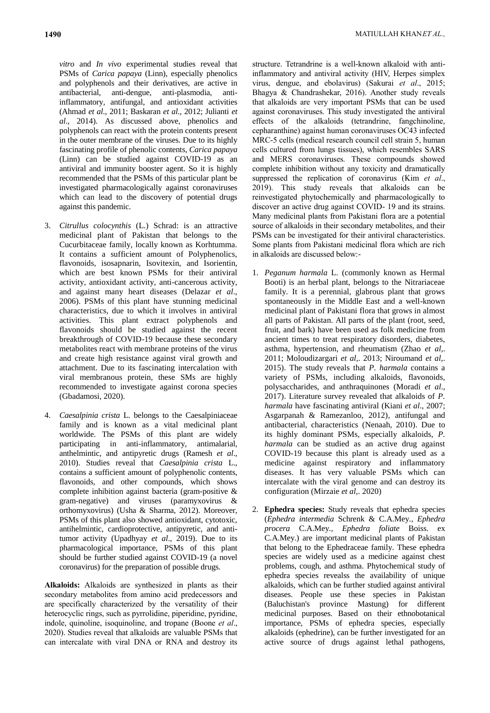*vitro* and *In vivo* experimental studies reveal that PSMs of *Carica papaya* (Linn), especially phenolics and polyphenols and their derivatives, are active in antibacterial, anti-dengue, anti-plasmodia, antiinflammatory, antifungal, and antioxidant activities (Ahmad *et al*., 2011; Baskaran *et al*., 2012; Julianti *et al*., 2014). As discussed above, phenolics and polyphenols can react with the protein contents present in the outer membrane of the viruses. Due to its highly fascinating profile of phenolic contents, *Carica papaya*  (Linn) can be studied against COVID-19 as an antiviral and immunity booster agent. So it is highly recommended that the PSMs of this particular plant be investigated pharmacologically against coronaviruses which can lead to the discovery of potential drugs against this pandemic.

- 3. *Citrullus colocynthis* (L.) Schrad: is an attractive medicinal plant of Pakistan that belongs to the Cucurbitaceae family, locally known as Korhtumma. It contains a sufficient amount of Polyphenolics, flavonoids, isosapnarin, Isovitexin, and Isorientin, which are best known PSMs for their antiviral activity, antioxidant activity, anti-cancerous activity, and against many heart diseases (Delazar *et al*., 2006). PSMs of this plant have stunning medicinal characteristics, due to which it involves in antiviral activities. This plant extract polyphenols and flavonoids should be studied against the recent breakthrough of COVID-19 because these secondary metabolites react with membrane proteins of the virus and create high resistance against viral growth and attachment. Due to its fascinating intercalation with viral membranous protein, these SMs are highly recommended to investigate against corona species (Gbadamosi, 2020).
- 4. *Caesalpinia crista* L. belongs to the Caesalpiniaceae family and is known as a vital medicinal plant worldwide. The PSMs of this plant are widely participating in anti-inflammatory, antimalarial, anthelmintic, and antipyretic drugs (Ramesh *et al*., 2010). Studies reveal that *Caesalpinia crista* L., contains a sufficient amount of polyphenolic contents, flavonoids, and other compounds, which shows complete inhibition against bacteria (gram-positive & gram-negative) and viruses (paramyxovirus & orthomyxovirus) (Usha & Sharma, 2012). Moreover, PSMs of this plant also showed antioxidant, cytotoxic, antihelmintic, cardioprotective, antipyretic, and antitumor activity (Upadhyay *et al*., 2019). Due to its pharmacological importance, PSMs of this plant should be further studied against COVID-19 (a novel coronavirus) for the preparation of possible drugs.

**Alkaloids:** Alkaloids are synthesized in plants as their secondary metabolites from amino acid predecessors and are specifically characterized by the versatility of their heterocyclic rings, such as pyrrolidine, piperidine, pyridine, indole, quinoline, isoquinoline, and tropane (Boone *et al*., 2020). Studies reveal that alkaloids are valuable PSMs that can intercalate with viral DNA or RNA and destroy its structure. Tetrandrine is a well-known alkaloid with antiinflammatory and antiviral activity (HIV, Herpes simplex virus, dengue, and ebolavirus) (Sakurai *et al*., 2015; Bhagya & Chandrashekar, 2016). Another study reveals that alkaloids are very important PSMs that can be used against coronaviruses. This study investigated the antiviral effects of the alkaloids (tetrandrine, fangchinoline, cepharanthine) against human coronaviruses OC43 infected MRC-5 cells (medical research council cell strain 5, human cells cultured from lungs tissues), which resembles SARS and MERS coronaviruses. These compounds showed complete inhibition without any toxicity and dramatically suppressed the replication of coronavirus (Kim *et al*., 2019). This study reveals that alkaloids can be reinvestigated phytochemically and pharmacologically to discover an active drug against COVID- 19 and its strains. Many medicinal plants from Pakistani flora are a potential source of alkaloids in their secondary metabolites, and their PSMs can be investigated for their antiviral characteristics. Some plants from Pakistani medicinal flora which are rich in alkaloids are discussed below:-

- 1. *Peganum harmala* L. (commonly known as Hermal Booti) is an herbal plant, belongs to the Nitrariaceae family. It is a perennial, glabrous plant that grows spontaneously in the Middle East and a well-known medicinal plant of Pakistani flora that grows in almost all parts of Pakistan. All parts of the plant (root, seed, fruit, and bark) have been used as folk medicine from ancient times to treat respiratory disorders, diabetes, asthma, hypertension, and rheumatism (Zhao *et al*,. 2011; Moloudizargari *et al*,. 2013; Niroumand *et al*,. 2015). The study reveals that *P. harmala* contains a variety of PSMs, including alkaloids, flavonoids, polysaccharides, and anthraquinones (Moradi *et al*., 2017). Literature survey revealed that alkaloids of *P. harmala* have fascinating antiviral (Kiani *et al*., 2007; Asgarpanah & Ramezanloo, 2012), antifungal and antibacterial, characteristics (Nenaah, 2010). Due to its highly dominant PSMs, especially alkaloids, *P. harmala* can be studied as an active drug against COVID-19 because this plant is already used as a medicine against respiratory and inflammatory diseases. It has very valuable PSMs which can intercalate with the viral genome and can destroy its configuration (Mirzaie *et al*,. 2020)
- 2. **Ephedra species:** Study reveals that ephedra species (*Ephedra intermedia* Schrenk & C.A.Mey*., Ephedra procera* C.A.Mey*., Ephedra foliate* Boiss. ex C.A.Mey.) are important medicinal plants of Pakistan that belong to the Ephedraceae family. These ephedra species are widely used as a medicine against chest problems, cough, and asthma. Phytochemical study of ephedra species revealss the availability of unique alkaloids, which can be further studied against antiviral diseases. People use these species in Pakistan (Baluchistan's province Mastung) for different medicinal purposes. Based on their ethnobotanical importance, PSMs of ephedra species, especially alkaloids (ephedrine), can be further investigated for an active source of drugs against lethal pathogens,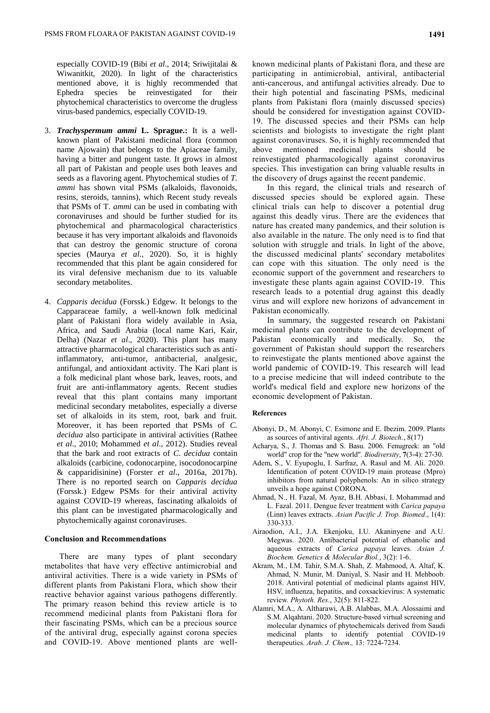especially COVID-19 (Bibi *et al*., 2014; Sriwijitalai & Wiwanitkit, 2020). In light of the characteristics mentioned above, it is highly recommended that Ephedra species be reinvestigated for their phytochemical characteristics to overcome the drugless virus-based pandemics, especially COVID-19.

- 3. *Trachyspermum ammi* **L. Sprague.:** It is a wellknown plant of Pakistani medicinal flora (common name Ajowain) that belongs to the Apiaceae family, having a bitter and pungent taste. It grows in almost all part of Pakistan and people uses both leaves and seeds as a flavoring agent. Phytochemical studies of *T. ammi* has shown vital PSMs (alkaloids, flavonoids, resins, steroids, tannins), which Recent study reveals that PSMs of T*. ammi* can be used in combating with coronaviruses and should be further studied for its phytochemical and pharmacological characteristics because it has very important alkaloids and flavonoids that can destroy the genomic structure of corona species (Maurya *et al*., 2020). So, it is highly recommended that this plant be again considered for its viral defensive mechanism due to its valuable secondary metabolites.
- 4. *Capparis decidua* (Forssk.) Edgew. It belongs to the Capparaceae family, a well-known folk medicinal plant of Pakistani flora widely available in Asia, Africa, and Saudi Arabia (local name Kari, Kair, Delha) (Nazar *et al*., 2020). This plant has many attractive pharmacological characteristics such as antiinflammatory, anti-tumor, antibacterial, analgesic, antifungal, and antioxidant activity. The Kari plant is a folk medicinal plant whose bark, leaves, roots, and fruit are anti-inflammatory agents. Recent studies reveal that this plant contains many important medicinal secondary metabolites, especially a diverse set of alkaloids in its stem, root, bark and fruit. Moreover, it has been reported that PSMs of *C. decidua* also participate in antiviral activities (Rathee *et al*., 2010; Mohammed *et al*., 2012). Studies reveal that the bark and root extracts of *C. decidua* contain alkaloids (carbicine, codonocarpine, isocodonocarpine & capparidisinine) (Forster *et al*., 2016a, 2017b). There is no reported search on *Capparis decidua*  (Forssk.) Edgew PSMs for their antiviral activity against COVID-19 whereas, fascinating alkaloids of this plant can be investigated pharmacologically and phytochemically against coronaviruses.

## **Conclusion and Recommendations**

There are many types of plant secondary metabolites that have very effective antimicrobial and antiviral activities. There is a wide variety in PSMs of different plants from Pakistani Flora, which show their reactive behavior against various pathogens differently. The primary reason behind this review article is to recommend medicinal plants from Pakistani flora for their fascinating PSMs, which can be a precious source of the antiviral drug, especially against corona species and COVID-19. Above mentioned plants are wellknown medicinal plants of Pakistani flora, and these are participating in antimicrobial, antiviral, antibacterial anti-cancerous, and antifungal activities already. Due to their high potential and fascinating PSMs, medicinal plants from Pakistani flora (mainly discussed species) should be considered for investigation against COVID-19. The discussed species and their PSMs can help scientists and biologists to investigate the right plant against coronaviruses. So, it is highly recommended that above mentioned medicinal plants should be reinvestigated pharmacologically against coronavirus species. This investigation can bring valuable results in the discovery of drugs against the recent pandemic.

In this regard, the clinical trials and research of discussed species should be explored again. These clinical trials can help to discover a potential drug against this deadly virus. There are the evidences that nature has created many pandemics, and their solution is also available in the nature. The only need is to find that solution with struggle and trials. In light of the above, the discussed medicinal plants' secondary metabolites can cope with this situation. The only need is the economic support of the government and researchers to investigate these plants again against COVID-19. This research leads to a potential drug against this deadly virus and will explore new horizons of advancement in Pakistan economically.

In summary, the suggested research on Pakistani medicinal plants can contribute to the development of Pakistan economically and medically. So, the government of Pakistan should support the researchers to reinvestigate the plants mentioned above against the world pandemic of COVID-19. This research will lead to a precise medicine that will indeed contribute to the world's medical field and explore new horizons of the economic development of Pakistan.

### **References**

- Abonyi, D., M. Abonyi, C. Esimone and E. Ibezim. 2009. Plants as sources of antiviral agents. *Afri. J. Biotech.*, 8(17)
- Acharya, S., J. Thomas and S. Basu. 2006. Fenugreek: an "old world" crop for the "new world". *Biodiversity*, **7**(3-4): 27-30.
- Adem, S., V. Eyupoglu, I. Sarfraz, A. Rasul and M. Ali. 2020. Identification of potent COVID-19 main protease (Mpro) inhibitors from natural polyphenols: An in silico strategy unveils a hope against CORONA.
- Ahmad, N., H. Fazal, M. Ayaz, B.H. Abbasi, I. Mohammad and L. Fazal. 2011. Dengue fever treatment with *Carica papaya* (Linn) leaves extracts. *Asian Pacific J. Trop. Biomed*., 1(4): 330-333.
- Airaodion, A.I., J.A. Ekenjoku, I.U. Akaninyene and A.U. Megwas. 2020. Antibacterial potential of ethanolic and aqueous extracts of *Carica papaya* leaves. *Asian J. Biochem. Genetics & Molecular Biol.*, 3(2): 1-6.
- Akram, M., I.M. Tahir, S.M.A. Shah, Z. Mahmood, A. Altaf, K. Ahmad, N. Munir, M. Daniyal, S. Nasir and H. Mehboob. 2018. Antiviral potential of medicinal plants against HIV, HSV, influenza, hepatitis, and coxsackievirus: A systematic review. *Phytoth. Res*., 32(5): 811-822.
- Alamri, M.A., A. Altharawi, A.B. Alabbas, M.A. Alossaimi and S.M. Alqahtani. 2020. Structure-based virtual screening and molecular dynamics of phytochemicals derived from Saudi medicinal plants to identify potential COVID-19 therapeutics. *Arab. J. Chem*.*,* 13: 7224-7234.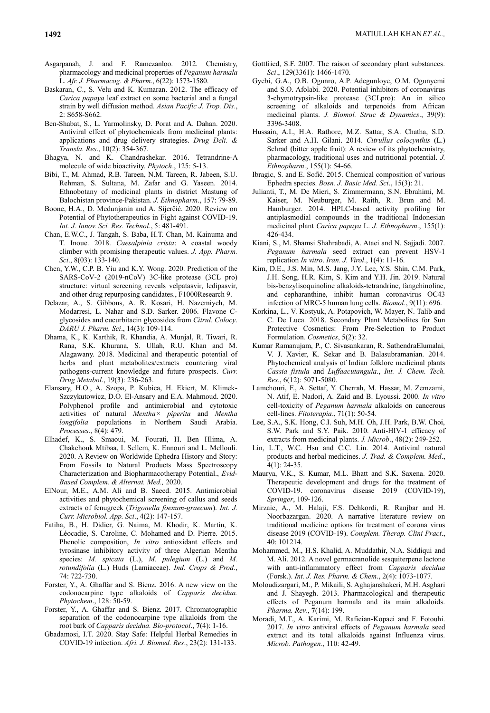- Asgarpanah, J. and F. Ramezanloo. 2012. Chemistry, pharmacology and medicinal properties of *Peganum harmala* L. *Afr. J. Pharmacog. & Pharm*., 6(22): 1573-1580.
- Baskaran, C., S. Velu and K. Kumaran. 2012. The efficacy of *Carica papaya* leaf extract on some bacterial and a fungal strain by well diffusion method. *Asian Pacific J. Trop. Dis*., 2: S658-S662.
- Ben-Shabat, S., L. Yarmolinsky, D. Porat and A. Dahan. 2020. Antiviral effect of phytochemicals from medicinal plants: applications and drug delivery strategies. *Drug Deli. & Transla. Res*., 10(2): 354-367.
- Bhagya, N. and K. Chandrashekar. 2016. Tetrandrine-A molecule of wide bioactivity. *Phytoch*., 125: 5-13.
- Bibi, T., M. Ahmad, R.B. Tareen, N.M. Tareen, R. Jabeen, S.U. Rehman, S. Sultana, M. Zafar and G. Yaseen. 2014. Ethnobotany of medicinal plants in district Mastung of Balochistan province-Pakistan. *J. Ethnopharm*., 157: 79-89.
- Boone, H.A., D. Medunjanin and A. Sijerčić. 2020. Review on Potential of Phytotherapeutics in Fight against COVID-19. *Int. J. Innov. Sci. Res. Technol*., 5: 481-491.
- Chan, E.W.C., J. Tangah, S. Baba, H.T. Chan, M. Kainuma and T. Inoue. 2018. *Caesalpinia crista*: A coastal woody climber with promising therapeutic values. *J. App. Pharm. Sci*., 8(03): 133-140.
- Chen, Y.W., C.P. B. Yiu and K.Y. Wong. 2020. Prediction of the SARS-CoV-2 (2019-nCoV) 3C-like protease (3CL pro) structure: virtual screening reveals velpatasvir, ledipasvir, and other drug repurposing candidates., F1000Research 9.
- Delazar, A., S. Gibbons, A. R. Kosari, H. Nazemiyeh, M. Modarresi, L. Nahar and S.D. Sarker. 2006. Flavone Cglycosides and cucurbitacin glycosides from *Citrul. Colocy*. *DARU J. Pharm. Sci*., 14(3): 109-114.
- Dhama, K., K. Karthik, R. Khandia, A. Munjal, R. Tiwari, R. Rana, S.K. Khurana, S. Ullah, R.U. Khan and M. Alagawany. 2018. Medicinal and therapeutic potential of herbs and plant metabolites/extracts countering viral pathogens-current knowledge and future prospects. *Curr. Drug Metabol*., 19(3): 236-263.
- Elansary, H.O., A. Szopa, P. Kubica, H. Ekiert, M. Klimek-Szczykutowicz, D.O. El-Ansary and E.A. Mahmoud. 2020. Polyphenol profile and antimicrobial and cytotoxic activities of natural *Mentha× piperita* and *Mentha longifolia* populations in Northern Saudi Arabia. *Processes*., 8(4): 479.
- Elhadef, K., S. Smaoui, M. Fourati, H. Ben Hlima, A. Chakchouk Mtibaa, I. Sellem, K. Ennouri and L. Mellouli. 2020. A Review on Worldwide Ephedra History and Story: From Fossils to Natural Products Mass Spectroscopy Characterization and Biopharmacotherapy Potential., *Evid-Based Complem. & Alternat. Med.,* 2020.
- ElNour, M.E., A.M. Ali and B. Saeed. 2015. Antimicrobial activities and phytochemical screening of callus and seeds extracts of fenugreek (*Trigonella foenum-graecum*). *Int. J. Curr. Microbiol. App. Sci*., 4(2): 147-157.
- Fatiha, B., H. Didier, G. Naima, M. Khodir, K. Martin, K. Léocadie, S. Caroline, C. Mohamed and D. Pierre. 2015. Phenolic composition, *In vitro* antioxidant effects and tyrosinase inhibitory activity of three Algerian Mentha species: *M. spicata* (L.), *M. pulegium* (L.) and *M. rotundifolia* (L.) Huds (Lamiaceae). *Ind. Crops & Prod*., 74: 722-730.
- Forster, Y., A. Ghaffar and S. Bienz. 2016. A new view on the codonocarpine type alkaloids of *Capparis decidua. Phytochem*., 128: 50-59.
- Forster, Y., A. Ghaffar and S. Bienz. 2017. Chromatographic separation of the codonocarpine type alkaloids from the root bark of *Capparis decidua. Bio-protocol*., **7**(4): 1-16.
- Gbadamosi, I.T. 2020. Stay Safe: Helpful Herbal Remedies in COVID-19 infection. *Afri. J. Biomed. Res*., 23(2): 131-133.
- Gottfried, S.F. 2007. The raison of secondary plant substances. *Sci*., 129(3361): 1466-1470.
- Gyebi, G.A., O.B. Ogunro, A.P. Adegunloye, O.M. Ogunyemi and S.O. Afolabi. 2020. Potential inhibitors of coronavirus 3-chymotrypsin-like protease (3CLpro): An in silico screening of alkaloids and terpenoids from African medicinal plants. *J. Biomol. Struc & Dynamics*., 39(9): 3396-3408.
- Hussain, A.I., H.A. Rathore, M.Z. Sattar, S.A. Chatha, S.D. Sarker and A.H. Gilani. 2014. *Citrullus colocynthis* (L.) Schrad (bitter apple fruit): A review of its phytochemistry, pharmacology, traditional uses and nutritional potential. *J. Ethnopharm*., 155(1): 54-66.
- Ibragic, S. and E. Sofić. 2015. Chemical composition of various Ephedra species. *Bosn. J. Basic Med. Sci*., 15(3): 21.
- Julianti, T., M. De Mieri, S. Zimmermann, S.N. Ebrahimi, M. Kaiser, M. Neuburger, M. Raith, R. Brun and M. Hamburger. 2014. HPLC-based activity profiling for antiplasmodial compounds in the traditional Indonesian medicinal plant *Carica papaya* L. *J. Ethnopharm*., 155(1): 426-434.
- Kiani, S., M. Shamsi Shahrabadi, A. Ataei and N. Sajjadi. 2007. *Peganum harmala* seed extract can prevent HSV-1 replication *In vitro*. *Iran. J. Virol*., 1(4): 11-16.
- Kim, D.E., J.S. Min, M.S. Jang, J.Y. Lee, Y.S. Shin, C.M. Park, J.H. Song, H.R. Kim, S. Kim and Y.H. Jin. 2019. Natural bis-benzylisoquinoline alkaloids-tetrandrine, fangchinoline, and cepharanthine, inhibit human coronavirus OC43 infection of MRC-5 human lung cells. *Biomol*., 9(11): 696.
- Korkina, L., V. Kostyuk, A. Potapovich, W. Mayer, N. Talib and C. De Luca. 2018. Secondary Plant Metabolites for Sun Protective Cosmetics: From Pre-Selection to Product Formulation. *Cosmetics*, 5(2): 32.
- Kumar Ramanujam, P., C. Sivasankaran, R. SathendraElumalai, V. J. Xavier, K. Sekar and B. Balasubramanian. 2014. Phytochemical analysis of Indian folklore medicinal plants *Cassia fistula* and *Luffaacutangula*., *Int. J. Chem. Tech. Res.*, 6(12): 5071-5080.
- Lamchouri, F., A. Settaf, Y. Cherrah, M. Hassar, M. Zemzami, N. Atif, E. Nadori, A. Zaid and B. Lyoussi. 2000. *In vitro* cell-toxicity of *Peganum harmala* alkaloids on cancerous cell-lines. *Fitoterapia*., 71(1): 50-54.
- Lee, S.A., S.K. Hong, C.I. Suh, M.H. Oh, J.H. Park, B.W. Choi, S.W. Park and S.Y. Paik. 2010. Anti-HIV-1 efficacy of extracts from medicinal plants. *J. Microb*., 48(2): 249-252.
- Lin, L.T., W.C. Hsu and C.C. Lin. 2014. Antiviral natural products and herbal medicines. *J. Trad. & Complem. Med*., 4(1): 24-35.
- Maurya, V.K., S. Kumar, M.L. Bhatt and S.K. Saxena. 2020. Therapeutic development and drugs for the treatment of COVID-19. coronavirus disease 2019 (COVID-19), *Springer*, 109-126.
- Mirzaie, A., M. Halaji, F.S. Dehkordi, R. Ranjbar and H. Noorbazargan. 2020. A narrative literature review on traditional medicine options for treatment of corona virus disease 2019 (COVID-19). *Complem. Therap. Clini Pract*., 40: 101214.
- Mohammed, M., H.S. Khalid, A. Muddathir, N.A. Siddiqui and M. Ali. 2012. A novel germacranolide sesquiterpene lactone with anti-inflammatory effect from *Capparis decidua* (Forsk.). *Int. J. Res. Pharm. & Chem*., 2(4): 1073-1077.
- Moloudizargari, M., P. Mikaili, S. Aghajanshakeri, M.H. Asghari and J. Shayegh. 2013. Pharmacological and therapeutic effects of Peganum harmala and its main alkaloids. *Pharma. Rev*., **7**(14): 199.
- Moradi, M.T., A. Karimi, M. Rafieian-Kopaei and F. Fotouhi. 2017. *In vitro* antiviral effects of *Peganum harmala* seed extract and its total alkaloids against Influenza virus. *Microb. Pathogen*., 110: 42-49.